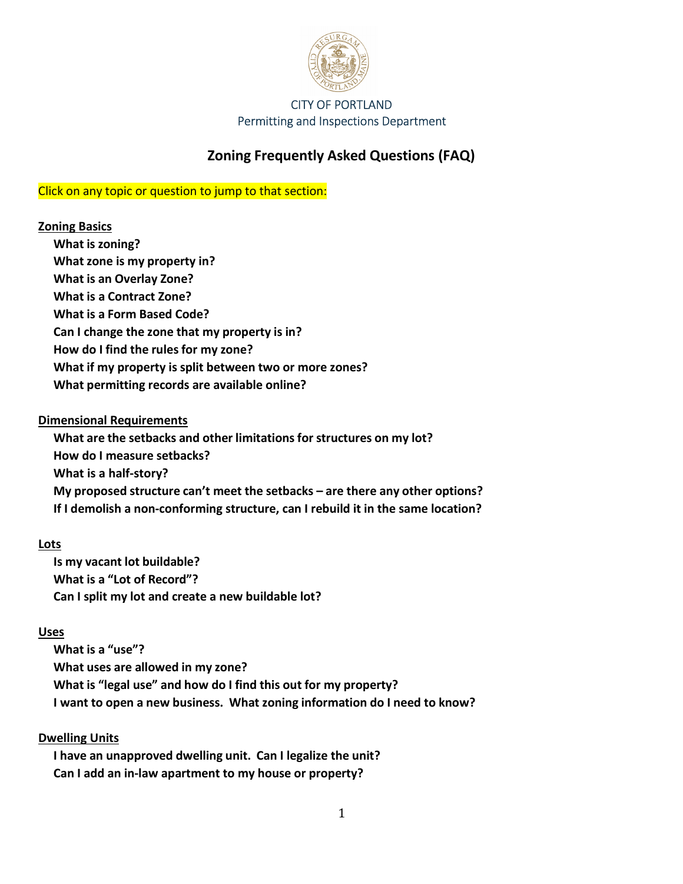

# **Zoning Frequently Asked Questions (FAQ)**

## Click on any topic or question to jump to that section:

## **[Zoning Basics](#page-1-0)**

- **[What is zoning?](#page-1-0)  [What zone is my property in?](#page-1-0)**
- **[What is an Overlay Zone?](#page-1-0)**
- **[What is a Contract Zone?](#page-1-0)**
- **[What is a Form Based Code?](#page-1-0)**
- **[Can I change the zone that my property is in?](#page-2-0)**
- **[How do I find the rules for my zone?](#page-2-0)**
- **[What if my property is split between two or more zones?](#page-2-0)**
- **[What permitting records are available online?](#page-2-0)**

## **[Dimensional Requirements](#page-2-0)**

**[What are the setbacks and other limitations for structures on my lot?](#page-2-0)  [How do I measure setbacks?](#page-3-0)  [What is a half-story?](#page-3-0)  [My proposed structure can't meet the setbacks – are there any other options?](#page-3-0)  [If I demolish a non-conforming structure, can I rebuild it in the same location?](#page-3-0)**

## **[Lots](#page-3-0)**

**[Is my vacant lot buildable?](#page-3-0)  [What is a "Lot of Record"?](#page-4-0)  [Can I split my lot and create a new buildable lot?](#page-4-0)**

## **[Uses](#page-5-0)**

**[What is a "use"?](#page-5-0)  [What uses are allowed in my zone?](#page-5-0)  [What is "legal use" and how do I find this out for my property?](#page-5-0)  [I want to open a new business. What zoning information do I need to know?](#page-5-0)** 

## **[Dwelling Units](#page-6-0)**

**[I have an unapproved dwelling unit. Can I legalize the unit?](#page-6-0) [Can I add an in-law apartment to my house or property?](#page-6-0)**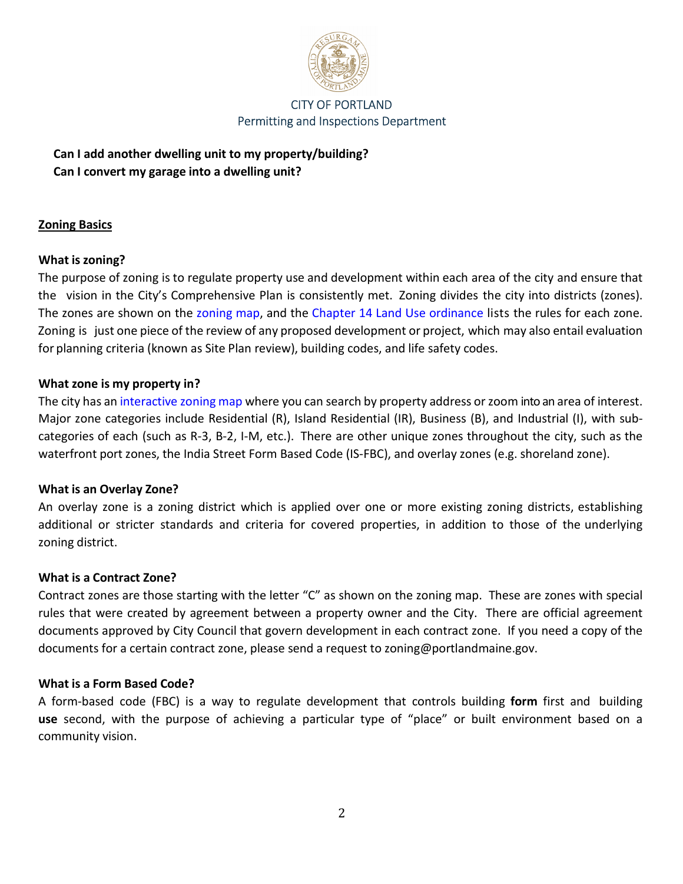

<span id="page-1-0"></span>**[Can I add another dwelling unit to my property/building?](#page-6-0)  [Can I convert my garage into a dwelling unit?](#page-7-0)**

## **Zoning Basics**

#### **What is zoning?**

The purpose of zoning is to regulate property use and development within each area of the city and ensure that the vision in the City's Comprehensive Plan is consistently met. Zoning divides the city into districts (zones). The zones are shown on th[e zoning map,](https://portlandme.maps.arcgis.com/apps/webappviewer/index.html?id=53778b868b5f4465a8931ebb4faae4c5) and the [Chapter 14 Land Use ordinance](http://portlandmaine.gov/DocumentCenter/View/1080/Chapter-14-Land-Use-ReCode---Revised-2222021?bidId=) lists the rules for each zone. Zoning is just one piece of the review of any proposed development or project, which may also entail evaluation for planning criteria (known as Site Plan review), building codes, and life safety codes.

## **What zone is my property in?**

The city has an [interactive zoning map](https://portlandme.maps.arcgis.com/apps/webappviewer/index.html?id=53778b868b5f4465a8931ebb4faae4c5) where you can search by property address or zoom into an area of interest. Major zone categories include Residential (R), Island Residential (IR), Business (B), and Industrial (I), with subcategories of each (such as R-3, B-2, I-M, etc.). There are other unique zones throughout the city, such as the waterfront port zones, the India Street Form Based Code (IS-FBC), and overlay zones (e.g. shoreland zone).

#### **What is an Overlay Zone?**

An overlay zone is a zoning district which is applied over one or more existing zoning districts, establishing additional or stricter standards and criteria for covered properties, in addition to those of the underlying zoning district.

#### **What is a Contract Zone?**

Contract zones are those starting with the letter "C" as shown on the zoning map. These are zones with special rules that were created by agreement between a property owner and the City. There are official agreement documents approved by City Council that govern development in each contract zone. If you need a copy of the documents for a certain contract zone, please send a request to zoning@portlandmaine.gov.

#### **What is a Form Based Code?**

A form-based code (FBC) is a way to regulate development that controls building **form** first and building **use** second, with the purpose of achieving a particular type of "place" or built environment based on a community vision.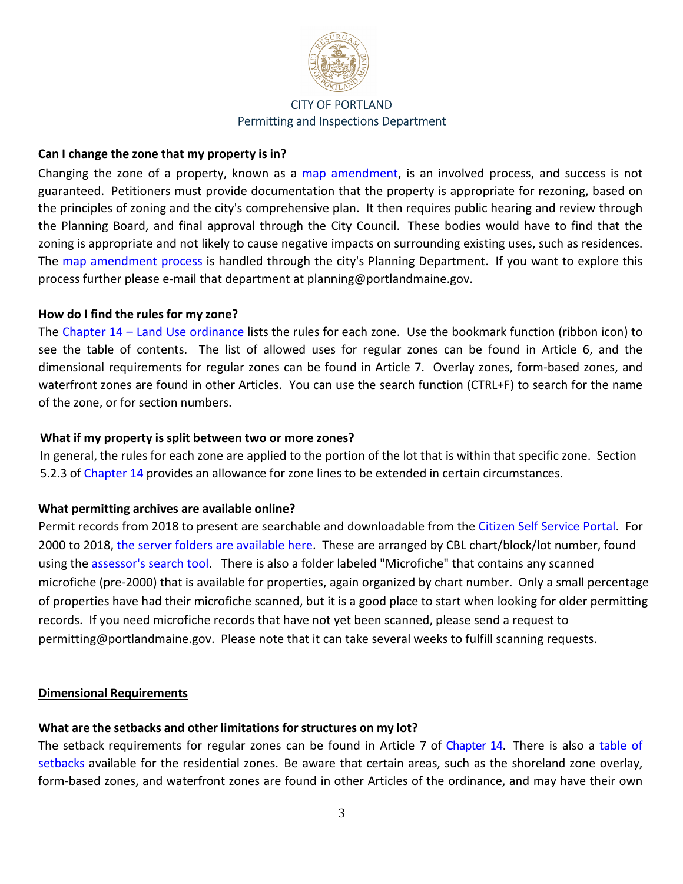

## <span id="page-2-0"></span>**Can I change the zone that my property is in?**

Changing the zone of a property, known as a [map amendment,](http://www.portlandmaine.gov/DocumentCenter/View/29602/Map-Amendment) is an involved process, and success is not guaranteed. Petitioners must provide documentation that the property is appropriate for rezoning, based on the principles of zoning and the city's comprehensive plan. It then requires public hearing and review through the Planning Board, and final approval through the City Council. These bodies would have to find that the zoning is appropriate and not likely to cause negative impacts on surrounding existing uses, such as residences. The [map amendment process i](http://www.portlandmaine.gov/DocumentCenter/View/24105/Map-Amendment-Checklist)s handled through the city's Planning Department. If you want to explore this process further please e-mail that department at planning@portlandmaine.gov.

#### **How do I find the rules for my zone?**

The [Chapter 14 – Land Use ordinance](http://portlandmaine.gov/DocumentCenter/View/1080/Chapter-14-Land-Use-ReCode---Revised-2222021?bidId=) lists the rules for each zone. Use the bookmark function (ribbon icon) to see the table of contents. The list of allowed uses for regular zones can be found in Article 6, and the dimensional requirements for regular zones can be found in Article 7. Overlay zones, form-based zones, and waterfront zones are found in other Articles. You can use the search function (CTRL+F) to search for the name of the zone, or for section numbers.

#### **What if my property is split between two or more zones?**

In general, the rules for each zone are applied to the portion of the lot that is within that specific zone. Section 5.2.3 of [Chapter 14](http://portlandmaine.gov/DocumentCenter/View/1080/Chapter-14-Land-Use-ReCode---Revised-2222021?bidId=) provides an allowance for zone lines to be extended in certain circumstances.

#### **What permitting archives are available online?**

Permit records from 2018 to present are searchable and downloadable from the [Citizen Self Service Portal.](https://selfservice.portlandmaine.gov/EnerGov_Prod/SelfService#/home) For 2000 to 2018[, the server folders are available here.](https://parcelsfolder.portlandmaine.gov/) These are arranged by CBL chart/block/lot number, found using the [assessor's search tool.](http://portlandmaine.gov/168/Property-Search) There is also a folder labeled "Microfiche" that contains any scanned microfiche (pre-2000) that is available for properties, again organized by chart number. Only a small percentage of properties have had their microfiche scanned, but it is a good place to start when looking for older permitting records. If you need microfiche records that have not yet been scanned, please send a request to permitting@portlandmaine.gov. Please note that it can take several weeks to fulfill scanning requests.

#### **Dimensional Requirements**

#### **What are the setbacks and other limitations for structures on my lot?**

The setback requirements for regular zones can be found in Article 7 of [Chapter 14.](http://portlandmaine.gov/DocumentCenter/View/1080/Chapter-14-Land-Use-ReCode---Revised-2222021?bidId=) There is also a table of [setbacks a](http://portlandmaine.gov/DocumentCenter/View/16119/Basic-Residential-Setback-Table?bidId=)vailable for the residential zones. Be aware that certain areas, such as the shoreland zone overlay, form-based zones, and waterfront zones are found in other Articles of the ordinance, and may have their own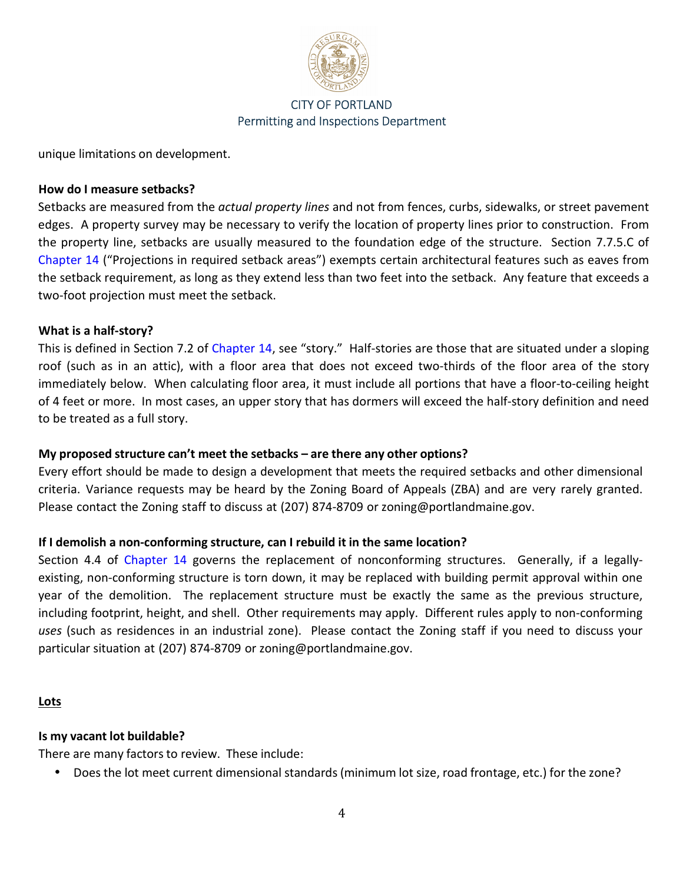

<span id="page-3-0"></span>unique limitations on development.

#### **How do I measure setbacks?**

Setbacks are measured from the *actual property lines* and not from fences, curbs, sidewalks, or street pavement edges. A property survey may be necessary to verify the location of property lines prior to construction. From the property line, setbacks are usually measured to the foundation edge of the structure. Section 7.7.5.C of [Chapter 14](http://portlandmaine.gov/DocumentCenter/View/1080/Chapter-14-Land-Use-ReCode---Revised-2222021?bidId=) ("Projections in required setback areas") exempts certain architectural features such as eaves from the setback requirement, as long as they extend less than two feet into the setback. Any feature that exceeds a two-foot projection must meet the setback.

#### **What is a half-story?**

This is defined in Section 7.2 of [Chapter 14,](http://portlandmaine.gov/DocumentCenter/View/1080/Chapter-14-Land-Use-ReCode---Revised-2222021?bidId=) see "story." Half-stories are those that are situated under a sloping roof (such as in an attic), with a floor area that does not exceed two-thirds of the floor area of the story immediately below. When calculating floor area, it must include all portions that have a floor-to-ceiling height of 4 feet or more. In most cases, an upper story that has dormers will exceed the half-story definition and need to be treated as a full story.

#### **My proposed structure can't meet the setbacks – are there any other options?**

Every effort should be made to design a development that meets the required setbacks and other dimensional criteria. Variance requests may be heard by the Zoning Board of Appeals (ZBA) and are very rarely granted. Please contact the Zoning staff to discuss at (207) 874-8709 or zoning@portlandmaine.gov.

#### **If I demolish a non-conforming structure, can I rebuild it in the same location?**

Section 4.4 of [Chapter 14](http://portlandmaine.gov/DocumentCenter/View/1080/Chapter-14-Land-Use-ReCode---Revised-2222021?bidId=) governs the replacement of nonconforming structures. Generally, if a legallyexisting, non-conforming structure is torn down, it may be replaced with building permit approval within one year of the demolition. The replacement structure must be exactly the same as the previous structure, including footprint, height, and shell. Other requirements may apply. Different rules apply to non-conforming *uses* (such as residences in an industrial zone). Please contact the Zoning staff if you need to discuss your particular situation at (207) 874-8709 or zoning@portlandmaine.gov.

#### **Lots**

#### **Is my vacant lot buildable?**

There are many factors to review. These include:

• Does the lot meet current dimensional standards (minimum lot size, road frontage, etc.) for the zone?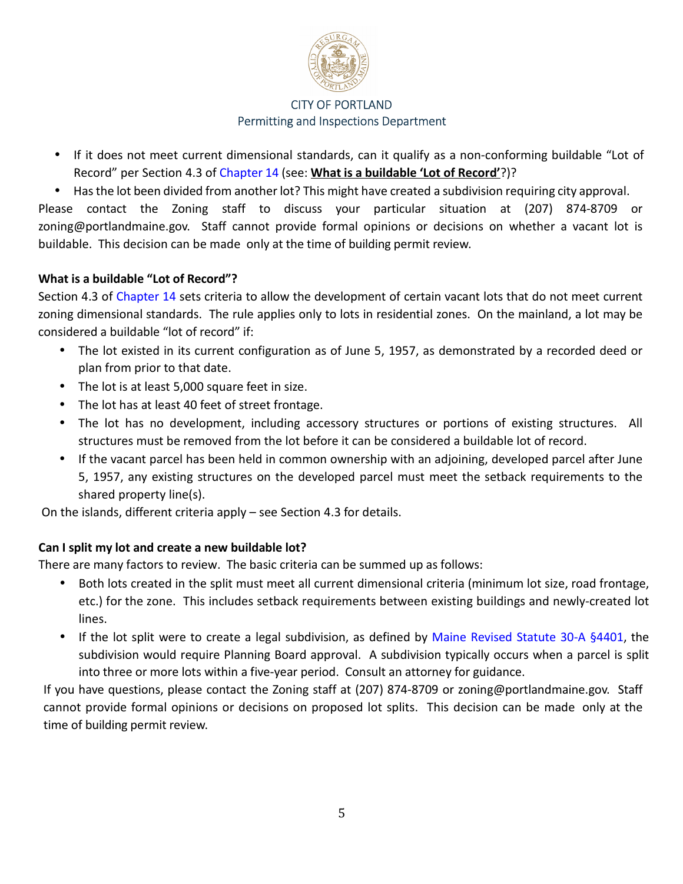

- <span id="page-4-0"></span>• If it does not meet current dimensional standards, can it qualify as a non-conforming buildable "Lot of Record" per Section 4.3 o[f Chapter 14](http://portlandmaine.gov/DocumentCenter/View/1080/Chapter-14-Land-Use-ReCode---Revised-2222021?bidId=) (see: **What is a buildable 'Lot of Record'**?)?
- Has the lot been divided from another lot? This might have created a subdivision requiring city approval.

Please contact the Zoning staff to discuss your particular situation at (207) 874-8709 or zoning@portlandmaine.gov. Staff cannot provide formal opinions or decisions on whether a vacant lot is buildable. This decision can be made only at the time of building permit review.

## **What is a buildable "Lot of Record"?**

Section 4.3 of [Chapter 14](http://portlandmaine.gov/DocumentCenter/View/1080/Chapter-14-Land-Use-ReCode---Revised-2222021?bidId=) sets criteria to allow the development of certain vacant lots that do not meet current zoning dimensional standards. The rule applies only to lots in residential zones. On the mainland, a lot may be considered a buildable "lot of record" if:

- The lot existed in its current configuration as of June 5, 1957, as demonstrated by a recorded deed or plan from prior to that date.
- The lot is at least 5,000 square feet in size.
- The lot has at least 40 feet of street frontage.
- The lot has no development, including accessory structures or portions of existing structures. All structures must be removed from the lot before it can be considered a buildable lot of record.
- If the vacant parcel has been held in common ownership with an adjoining, developed parcel after June 5, 1957, any existing structures on the developed parcel must meet the setback requirements to the shared property line(s).

On the islands, different criteria apply – see Section 4.3 for details.

## **Can I split my lot and create a new buildable lot?**

There are many factors to review. The basic criteria can be summed up as follows:

- Both lots created in the split must meet all current dimensional criteria (minimum lot size, road frontage, etc.) for the zone. This includes setback requirements between existing buildings and newly-created lot lines.
- If the lot split were to create a legal subdivision, as defined by [Maine Revised Statute 30-A §4401,](http://www.mainelegislature.org/legis/statutes/30-a/title30-asec4401.html) the subdivision would require Planning Board approval. A subdivision typically occurs when a parcel is split into three or more lots within a five-year period. Consult an attorney for guidance.

If you have questions, please contact the Zoning staff at (207) 874-8709 or zoning@portlandmaine.gov. Staff cannot provide formal opinions or decisions on proposed lot splits. This decision can be made only at the time of building permit review.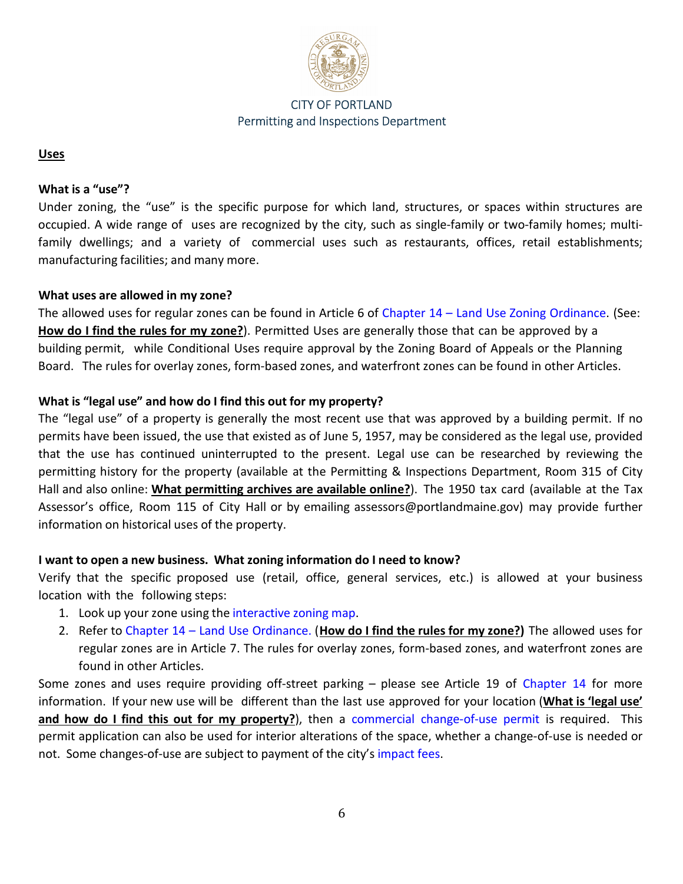

#### <span id="page-5-0"></span>**Uses**

#### **What is a "use"?**

Under zoning, the "use" is the specific purpose for which land, structures, or spaces within structures are occupied. A wide range of uses are recognized by the city, such as single-family or two-family homes; multifamily dwellings; and a variety of commercial uses such as restaurants, offices, retail establishments; manufacturing facilities; and many more.

## **What uses are allowed in my zone?**

The allowed uses for regular zones can be found in Article 6 of Chapter 14 - Land Use Zoning Ordinance. (See: **[How do I find the rules for my zone?](#page-2-0)**). Permitted Uses are generally those that can be approved by a building permit, while Conditional Uses require approval by the Zoning Board of Appeals or the Planning Board. The rules for overlay zones, form-based zones, and waterfront zones can be found in other Articles.

## **What is "legal use" and how do I find this out for my property?**

The "legal use" of a property is generally the most recent use that was approved by a building permit. If no permits have been issued, the use that existed as of June 5, 1957, may be considered as the legal use, provided that the use has continued uninterrupted to the present. Legal use can be researched by reviewing the permitting history for the property (available at the Permitting & Inspections Department, Room 315 of City Hall and also online: **[What permitting archives are available online?](#page-2-0)**). The 1950 tax card (available at the Tax Assessor's office, Room 115 of City Hall or by emailing assessors@portlandmaine.gov) may provide further information on historical uses of the property.

## **I want to open a new business. What zoning information do I need to know?**

Verify that the specific proposed use (retail, office, general services, etc.) is allowed at your business location with the following steps:

- 1. Look up your zone using the [interactive zoning map.](https://portlandme.maps.arcgis.com/apps/webappviewer/index.html?id=53778b868b5f4465a8931ebb4faae4c5)
- 2. Refer to [Chapter 14 Land Use Ordinance.](http://portlandmaine.gov/DocumentCenter/View/1080/Chapter-14-Land-Use-ReCode---Revised-2222021?bidId=) (**[How do I find the rules for my zone?\)](#page-2-0)** The allowed uses for regular zones are in Article 7. The rules for overlay zones, form-based zones, and waterfront zones are found in other Articles.

Some zones and uses require providing off-street parking – please see Article 19 of [Chapter 14](http://portlandmaine.gov/DocumentCenter/View/1080/Chapter-14-Land-Use-ReCode---Revised-2222021?bidId=) for more information. If your new use will be different than the last use approved for your location (**What is 'legal use' and how do I find this out for my property?**), then a [commercial change-of-use permit](https://www.portlandmaine.gov/DocumentCenter/View/2301/Commercial-Interior-Alteration-Application?bidId=) is required. This permit application can also be used for interior alterations of the space, whether a change-of-use is needed or not. Some changes-of-use are subject to payment of the city's impact fees.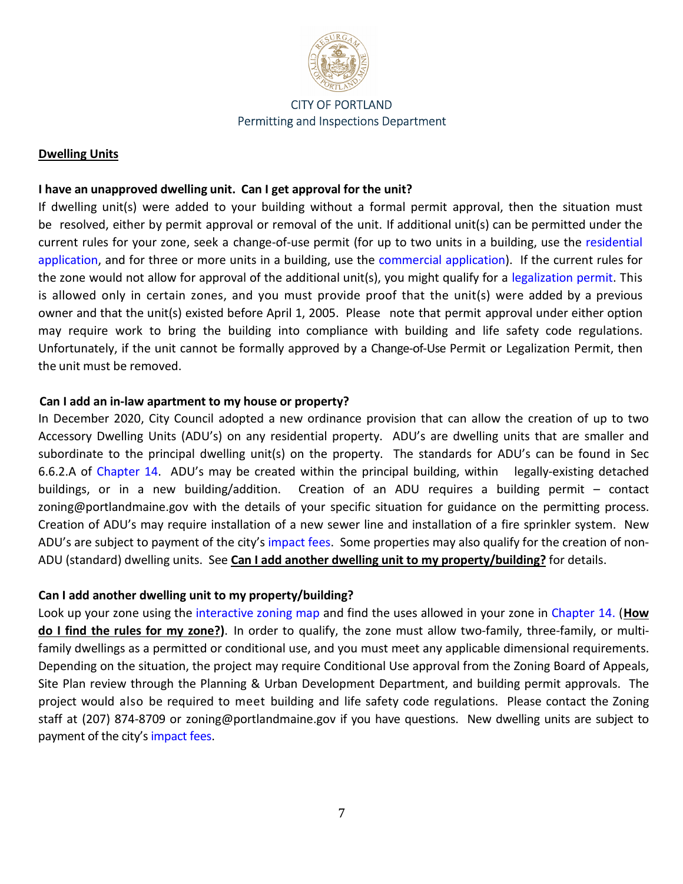

#### <span id="page-6-0"></span>**Dwelling Units**

## **I have an unapproved dwelling unit. Can I get approval for the unit?**

If dwelling unit(s) were added to your building without a formal permit approval, then the situation must be resolved, either by permit approval or removal of the unit. If additional unit(s) can be permitted under the current rules for your zone, seek a change-of-use permit (for up to two units in a building, use the [residential](https://www.portlandmaine.gov/DocumentCenter/View/3661/One-and-Two-Family-Addition-Alteration-Application?bidId=)  [application,](https://www.portlandmaine.gov/DocumentCenter/View/3661/One-and-Two-Family-Addition-Alteration-Application?bidId=) and for three or more units in a building, use the [commercial application\)](https://www.portlandmaine.gov/DocumentCenter/View/2301/Commercial-Interior-Alteration-Application?bidId=). If the current rules for the zone would not allow for approval of the additional unit(s), you might qualify for a [legalization permit.](https://www.portlandmaine.gov/DocumentCenter/View/3662/Legalization-of-Nonconforming-Dwelling-Unit?bidId=) This is allowed only in certain zones, and you must provide proof that the unit(s) were added by a previous owner and that the unit(s) existed before April 1, 2005. Please note that permit approval under either option may require work to bring the building into compliance with building and life safety code regulations. Unfortunately, if the unit cannot be formally approved by a Change-of-Use Permit or Legalization Permit, then the unit must be removed.

#### **Can I add an in-law apartment to my house or property?**

In December 2020, City Council adopted a new ordinance provision that can allow the creation of up to two Accessory Dwelling Units (ADU's) on any residential property. ADU's are dwelling units that are smaller and subordinate to the principal dwelling unit(s) on the property. The standards for ADU's can be found in Sec 6.6.2.A of [Chapter 14.](http://portlandmaine.gov/DocumentCenter/View/1080/Chapter-14-Land-Use-ReCode---Revised-2222021?bidId=) ADU's may be created within the principal building, within legally-existing detached buildings, or in a new building/addition. Creation of an ADU requires a building permit – contact zoning@portlandmaine.gov with the details of your specific situation for guidance on the permitting process. Creation of ADU's may require installation of a new sewer line and installation of a fire sprinkler system. New ADU's are subject to payment of the city's [impact fees.](http://www.portlandmaine.gov/2409/Impact-Fees) Some properties may also qualify for the creation of non-ADU (standard) dwelling units. See **Can I add another dwelling unit to my property/building?** for details.

#### **Can I add another dwelling unit to my property/building?**

Look up your zone using the [interactive zoning map](https://portlandme.maps.arcgis.com/apps/webappviewer/index.html?id=53778b868b5f4465a8931ebb4faae4c5) and find the uses allowed in your zone in [Chapter 14.](http://portlandmaine.gov/DocumentCenter/View/1080/Chapter-14-Land-Use-ReCode---Revised-2222021?bidId=) (**[How](#page-2-0)  [do I find the rules for my zone?\)](#page-2-0)**. In order to qualify, the zone must allow two-family, three-family, or multifamily dwellings as a permitted or conditional use, and you must meet any applicable dimensional requirements. Depending on the situation, the project may require Conditional Use approval from the Zoning Board of Appeals, Site Plan review through the Planning & Urban Development Department, and building permit approvals. The project would also be required to meet building and life safety code regulations. Please contact the Zoning staff at (207) 874-8709 or zoning@portlandmaine.gov if you have questions. New dwelling units are subject to payment of the city's [impact fees.](http://www.portlandmaine.gov/2409/Impact-Fees)